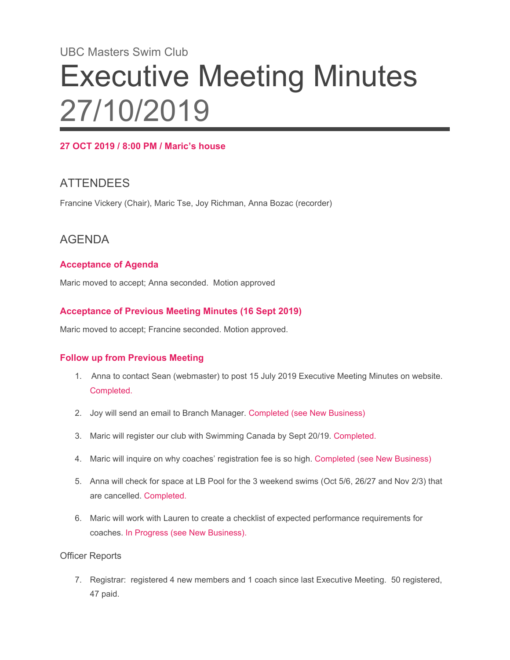# UBC Masters Swim Club Executive Meeting Minutes 27/10/2019

## **27 OCT 2019 / 8:00 PM / Maric's house**

# **ATTENDEES**

Francine Vickery (Chair), Maric Tse, Joy Richman, Anna Bozac (recorder)

## AGENDA

### **Acceptance of Agenda**

Maric moved to accept; Anna seconded. Motion approved

#### **Acceptance of Previous Meeting Minutes (16 Sept 2019)**

Maric moved to accept; Francine seconded. Motion approved.

#### **Follow up from Previous Meeting**

- 1. Anna to contact Sean (webmaster) to post 15 July 2019 Executive Meeting Minutes on website. Completed.
- 2. Joy will send an email to Branch Manager. Completed (see New Business)
- 3. Maric will register our club with Swimming Canada by Sept 20/19. Completed.
- 4. Maric will inquire on why coaches' registration fee is so high. Completed (see New Business)
- 5. Anna will check for space at LB Pool for the 3 weekend swims (Oct 5/6, 26/27 and Nov 2/3) that are cancelled. Completed.
- 6. Maric will work with Lauren to create a checklist of expected performance requirements for coaches. In Progress (see New Business).

#### Officer Reports

7. Registrar: registered 4 new members and 1 coach since last Executive Meeting. 50 registered, 47 paid.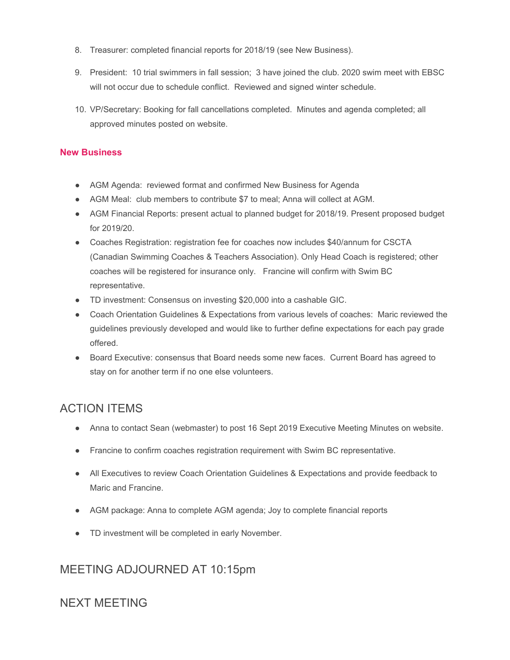- 8. Treasurer: completed financial reports for 2018/19 (see New Business).
- 9. President: 10 trial swimmers in fall session; 3 have joined the club. 2020 swim meet with EBSC will not occur due to schedule conflict. Reviewed and signed winter schedule.
- 10. VP/Secretary: Booking for fall cancellations completed. Minutes and agenda completed; all approved minutes posted on website.

#### **New Business**

- AGM Agenda: reviewed format and confirmed New Business for Agenda
- AGM Meal: club members to contribute \$7 to meal; Anna will collect at AGM.
- AGM Financial Reports: present actual to planned budget for 2018/19. Present proposed budget for 2019/20.
- Coaches Registration: registration fee for coaches now includes \$40/annum for CSCTA (Canadian Swimming Coaches & Teachers Association). Only Head Coach is registered; other coaches will be registered for insurance only. Francine will confirm with Swim BC representative.
- TD investment: Consensus on investing \$20,000 into a cashable GIC.
- Coach Orientation Guidelines & Expectations from various levels of coaches: Maric reviewed the guidelines previously developed and would like to further define expectations for each pay grade offered.
- Board Executive: consensus that Board needs some new faces. Current Board has agreed to stay on for another term if no one else volunteers.

# ACTION ITEMS

- Anna to contact Sean (webmaster) to post 16 Sept 2019 Executive Meeting Minutes on website.
- Francine to confirm coaches registration requirement with Swim BC representative.
- All Executives to review Coach Orientation Guidelines & Expectations and provide feedback to Maric and Francine.
- AGM package: Anna to complete AGM agenda; Joy to complete financial reports
- TD investment will be completed in early November.

## MEETING ADJOURNED AT 10:15pm

## NEXT MEETING